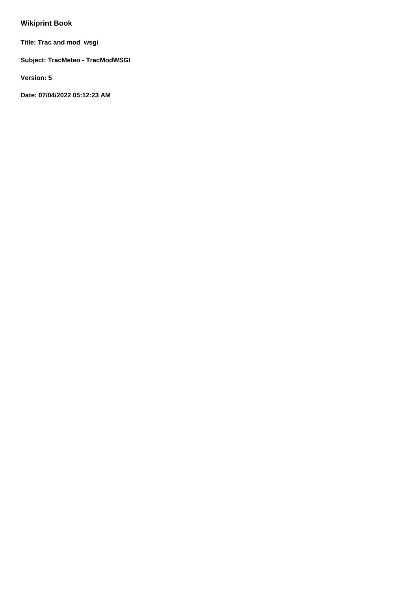# **Wikiprint Book**

**Title: Trac and mod\_wsgi**

**Subject: TracMeteo - TracModWSGI**

**Version: 5**

**Date: 07/04/2022 05:12:23 AM**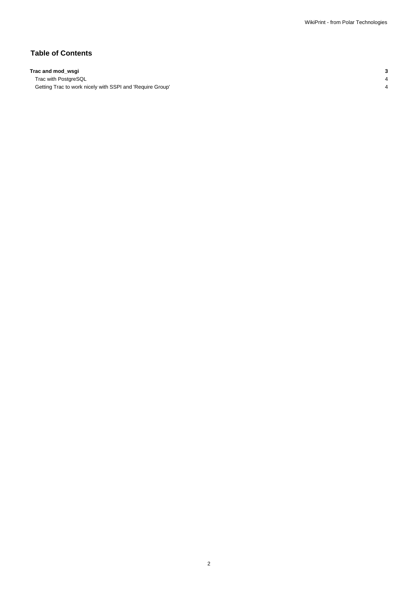## **Table of Contents**

### **Trac and mod\_wsgi 3**

Trac with PostgreSQL 4 Getting Trac to work nicely with SSPI and 'Require Group' 4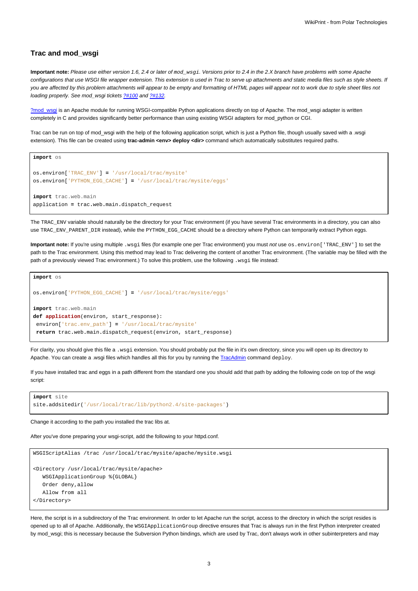#### **Trac and mod\_wsgi**

**Important note:** Please use either version 1.6, 2.4 or later of mod\_wsgi. Versions prior to 2.4 in the 2.X branch have problems with some Apache configurations that use WSGI file wrapper extension. This extension is used in Trac to serve up attachments and static media files such as style sheets. If you are affected by this problem attachments will appear to be empty and formatting of HTML pages will appear not to work due to style sheet files not loading properly. See mod\_wsgi tickets [?#100](http://code.google.com/p/modwsgi/issues/detail?id=100) and [?#132](http://code.google.com/p/modwsgi/issues/detail?id=132).

[?mod\\_wsgi](http://code.google.com/p/modwsgi/) is an Apache module for running WSGI-compatible Python applications directly on top of Apache. The mod\_wsgi adapter is written completely in C and provides significantly better performance than using existing WSGI adapters for mod\_python or CGI.

Trac can be run on top of mod\_wsgi with the help of the following application script, which is just a Python file, though usually saved with a .wsgi extension). This file can be created using trac-admin <env> deploy <dir> command which automatically substitutes required paths.

```
import os
os.environ['TRAC_ENV'] = '/usr/local/trac/mysite'
os.environ['PYTHON_EGG_CACHE'] = '/usr/local/trac/mysite/eggs'
import trac.web.main
application = trac.web.main.dispatch_request
```
The TRAC\_ENV variable should naturally be the directory for your Trac environment (if you have several Trac environments in a directory, you can also use TRAC\_ENV\_PARENT\_DIR instead), while the PYTHON\_EGG\_CACHE should be a directory where Python can temporarily extract Python eggs.

**Important note:** If you're using multiple .wsgi files (for example one per Trac environment) you must not use os.environ['TRAC\_ENV'] to set the path to the Trac environment. Using this method may lead to Trac delivering the content of another Trac environment. (The variable may be filled with the path of a previously viewed Trac environment.) To solve this problem, use the following . wsqi file instead:

```
import os
os.environ['PYTHON_EGG_CACHE'] = '/usr/local/trac/mysite/eggs'
import trac.web.main
def application(environ, start_response):
environ['trac.env_path'] = '/usr/local/trac/mysite'
return trac.web.main.dispatch_request(environ, start_response)
```
For clarity, you should give this file a .wsgi extension. You should probably put the file in it's own directory, since you will open up its directory to Apache. You can create a .wsgi files which handles all this for you by running the [TracAdmin](https://meteo.unican.es/trac/wiki/TracAdmin) command deploy.

If you have installed trac and eggs in a path different from the standard one you should add that path by adding the following code on top of the wsgi script:

```
import site
site.addsitedir('/usr/local/trac/lib/python2.4/site-packages')
```
Change it according to the path you installed the trac libs at.

After you've done preparing your wsgi-script, add the following to your httpd.conf.

```
WSGIScriptAlias /trac /usr/local/trac/mysite/apache/mysite.wsgi
<Directory /usr/local/trac/mysite/apache>
  WSGIApplicationGroup %{GLOBAL}
  Order deny,allow
  Allow from all
</Directory>
```
Here, the script is in a subdirectory of the Trac environment. In order to let Apache run the script, access to the directory in which the script resides is opened up to all of Apache. Additionally, the WSGIApplicationGroup directive ensures that Trac is always run in the first Python interpreter created by mod\_wsgi; this is necessary because the Subversion Python bindings, which are used by Trac, don't always work in other subinterpreters and may